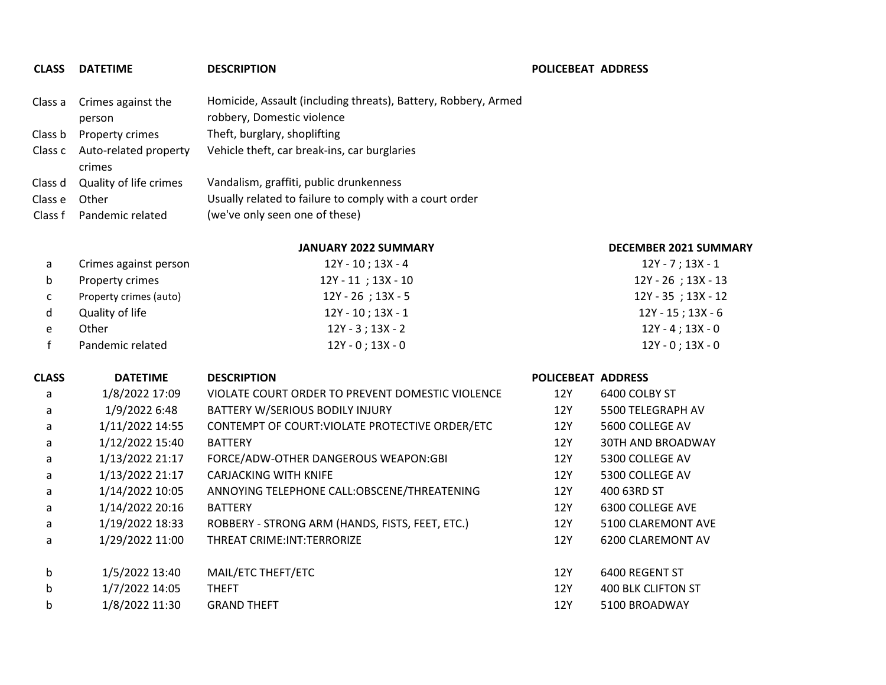## **CLASS DATETIME DESCRIPTION POLICEBEAT ADDRESS**

|         | Class a Crimes against the              | Homicide, Assault (including threats), Battery, Robbery, Armed |
|---------|-----------------------------------------|----------------------------------------------------------------|
|         | person                                  | robbery, Domestic violence                                     |
|         | Class b Property crimes                 | Theft, burglary, shoplifting                                   |
|         | Class c Auto-related property<br>crimes | Vehicle theft, car break-ins, car burglaries                   |
|         | Class d Quality of life crimes          | Vandalism, graffiti, public drunkenness                        |
| Class e | Other                                   | Usually related to failure to comply with a court order        |
|         | Class f Pandemic related                | (we've only seen one of these)                                 |

## **JANUARY 2022 SUMMARY DECEMBER 2021 SUMMARY**

| a  | Crimes against person  | 12Y - 10 ; 13X - 4      | $12Y - 7$ ; 13X - 1     |
|----|------------------------|-------------------------|-------------------------|
| b  | Property crimes        | $12Y - 11$ ; $13X - 10$ | 12Y - 26 ; 13X - 13     |
| C. | Property crimes (auto) | $12Y - 26$ ; 13X - 5    | $12Y - 35$ ; $13X - 12$ |
| d. | Quality of life        | 12Y - 10 ; 13X - 1      | $12Y - 15$ ; 13X - 6    |
|    | Other                  | $12Y - 3$ ; 13X - 2     | 12Y - 4 ; 13X - 0       |
|    | Pandemic related       | $12Y - 0$ ; $13X - 0$   | $12Y - 0$ ; $13X - 0$   |

| CLASS       | <b>DATETIME</b> | <b>DESCRIPTION</b>                               | <b>POLICEBEAT ADDRESS</b> |                           |  |
|-------------|-----------------|--------------------------------------------------|---------------------------|---------------------------|--|
| a           | 1/8/2022 17:09  | VIOLATE COURT ORDER TO PREVENT DOMESTIC VIOLENCE | 12Y                       | 6400 COLBY ST             |  |
| a           | 1/9/2022 6:48   | BATTERY W/SERIOUS BODILY INJURY                  | 12Y                       | 5500 TELEGRAPH AV         |  |
| a           | 1/11/2022 14:55 | CONTEMPT OF COURT: VIOLATE PROTECTIVE ORDER/ETC  | 12Y                       | 5600 COLLEGE AV           |  |
| a           | 1/12/2022 15:40 | <b>BATTERY</b>                                   | 12Y                       | <b>30TH AND BROADWAY</b>  |  |
| a           | 1/13/2022 21:17 | FORCE/ADW-OTHER DANGEROUS WEAPON:GBI             | 12Y                       | 5300 COLLEGE AV           |  |
| a           | 1/13/2022 21:17 | <b>CARJACKING WITH KNIFE</b>                     | 12Y                       | 5300 COLLEGE AV           |  |
| a           | 1/14/2022 10:05 | ANNOYING TELEPHONE CALL:OBSCENE/THREATENING      | 12Y                       | 400 63RD ST               |  |
| a           | 1/14/2022 20:16 | <b>BATTERY</b>                                   | 12Y                       | 6300 COLLEGE AVE          |  |
| a           | 1/19/2022 18:33 | ROBBERY - STRONG ARM (HANDS, FISTS, FEET, ETC.)  | 12Y                       | 5100 CLAREMONT AVE        |  |
| a           | 1/29/2022 11:00 | THREAT CRIME: INT: TERRORIZE                     | 12Y                       | 6200 CLAREMONT AV         |  |
| $\mathsf b$ | 1/5/2022 13:40  | MAIL/ETC THEFT/ETC                               | 12Y                       | 6400 REGENT ST            |  |
| b           | 1/7/2022 14:05  | <b>THEFT</b>                                     | 12Y                       | <b>400 BLK CLIFTON ST</b> |  |
| b           | 1/8/2022 11:30  | <b>GRAND THEFT</b>                               | 12Y                       | 5100 BROADWAY             |  |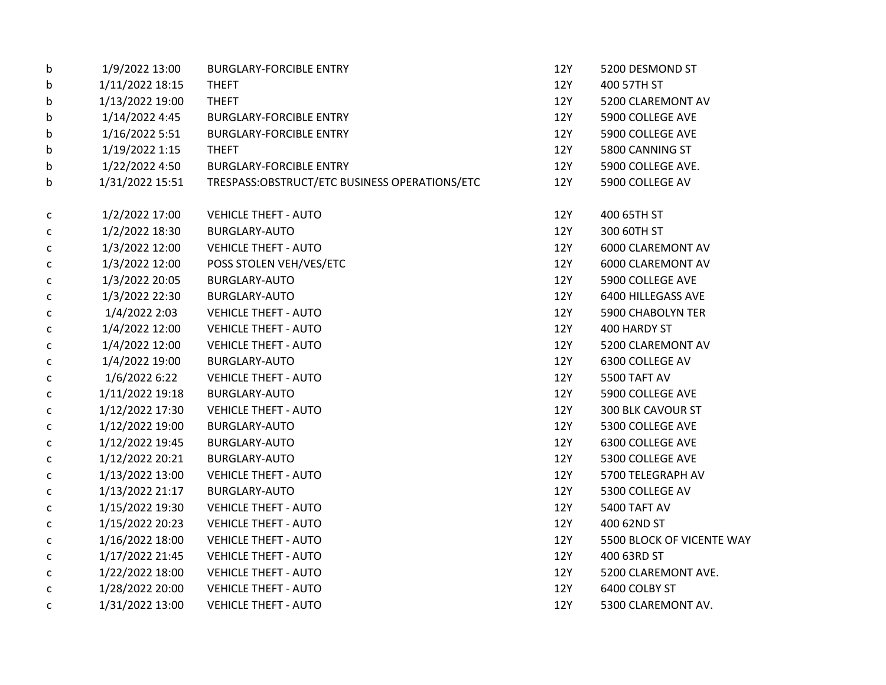| b            | 1/9/2022 13:00  | <b>BURGLARY-FORCIBLE ENTRY</b>                | 12Y        | 5200 DESMOND ST           |
|--------------|-----------------|-----------------------------------------------|------------|---------------------------|
| b            | 1/11/2022 18:15 | <b>THEFT</b>                                  | 12Y        | 400 57TH ST               |
| b            | 1/13/2022 19:00 | <b>THEFT</b>                                  | 12Y        | 5200 CLAREMONT AV         |
| b            | 1/14/2022 4:45  | <b>BURGLARY-FORCIBLE ENTRY</b>                | 12Y        | 5900 COLLEGE AVE          |
| b            | 1/16/2022 5:51  | <b>BURGLARY-FORCIBLE ENTRY</b>                | 12Y        | 5900 COLLEGE AVE          |
| b            | 1/19/2022 1:15  | <b>THEFT</b>                                  | 12Y        | 5800 CANNING ST           |
| b            | 1/22/2022 4:50  | <b>BURGLARY-FORCIBLE ENTRY</b>                | 12Y        | 5900 COLLEGE AVE.         |
| b            | 1/31/2022 15:51 | TRESPASS:OBSTRUCT/ETC BUSINESS OPERATIONS/ETC | 12Y        | 5900 COLLEGE AV           |
| C            | 1/2/2022 17:00  | <b>VEHICLE THEFT - AUTO</b>                   | 12Y        | 400 65TH ST               |
| $\mathsf{C}$ | 1/2/2022 18:30  | <b>BURGLARY-AUTO</b>                          | 12Y        | 300 60TH ST               |
| $\mathsf{C}$ | 1/3/2022 12:00  | <b>VEHICLE THEFT - AUTO</b>                   | 12Y        | 6000 CLAREMONT AV         |
| $\mathsf{C}$ | 1/3/2022 12:00  | POSS STOLEN VEH/VES/ETC                       | 12Y        | 6000 CLAREMONT AV         |
| C            | 1/3/2022 20:05  | <b>BURGLARY-AUTO</b>                          | 12Y        | 5900 COLLEGE AVE          |
| $\mathsf{C}$ | 1/3/2022 22:30  | <b>BURGLARY-AUTO</b>                          | 12Y        | 6400 HILLEGASS AVE        |
| $\mathsf{C}$ | 1/4/2022 2:03   | <b>VEHICLE THEFT - AUTO</b>                   | 12Y        | <b>5900 CHABOLYN TER</b>  |
| $\mathsf{C}$ | 1/4/2022 12:00  | <b>VEHICLE THEFT - AUTO</b>                   | 12Y        | 400 HARDY ST              |
| C            | 1/4/2022 12:00  | <b>VEHICLE THEFT - AUTO</b>                   | 12Y        | 5200 CLAREMONT AV         |
| c            | 1/4/2022 19:00  | <b>BURGLARY-AUTO</b>                          | 12Y        | 6300 COLLEGE AV           |
| $\mathsf{C}$ | 1/6/2022 6:22   | <b>VEHICLE THEFT - AUTO</b>                   | 12Y        | 5500 TAFT AV              |
| $\mathsf{C}$ | 1/11/2022 19:18 | <b>BURGLARY-AUTO</b>                          | 12Y        | 5900 COLLEGE AVE          |
| c            | 1/12/2022 17:30 | <b>VEHICLE THEFT - AUTO</b>                   | 12Y        | 300 BLK CAVOUR ST         |
| $\mathsf{C}$ | 1/12/2022 19:00 | BURGLARY-AUTO                                 | 12Y        | 5300 COLLEGE AVE          |
| $\mathsf{C}$ | 1/12/2022 19:45 | BURGLARY-AUTO                                 | 12Y        | 6300 COLLEGE AVE          |
| $\mathsf{C}$ | 1/12/2022 20:21 | <b>BURGLARY-AUTO</b>                          | 12Y        | 5300 COLLEGE AVE          |
| C            | 1/13/2022 13:00 | <b>VEHICLE THEFT - AUTO</b>                   | 12Y        | 5700 TELEGRAPH AV         |
| $\mathsf{C}$ | 1/13/2022 21:17 | <b>BURGLARY-AUTO</b>                          | 12Y        | 5300 COLLEGE AV           |
| $\mathsf{C}$ | 1/15/2022 19:30 | <b>VEHICLE THEFT - AUTO</b>                   | 12Y        | 5400 TAFT AV              |
| C            | 1/15/2022 20:23 | <b>VEHICLE THEFT - AUTO</b>                   | 12Y        | 400 62ND ST               |
| $\mathsf{C}$ | 1/16/2022 18:00 | <b>VEHICLE THEFT - AUTO</b>                   | 12Y        | 5500 BLOCK OF VICENTE WAY |
| $\mathsf{C}$ | 1/17/2022 21:45 | <b>VEHICLE THEFT - AUTO</b>                   | <b>12Y</b> | 400 63RD ST               |
| C            | 1/22/2022 18:00 | <b>VEHICLE THEFT - AUTO</b>                   | 12Y        | 5200 CLAREMONT AVE.       |
| C            | 1/28/2022 20:00 | <b>VEHICLE THEFT - AUTO</b>                   | 12Y        | 6400 COLBY ST             |
| $\mathsf{C}$ | 1/31/2022 13:00 | <b>VEHICLE THEFT - AUTO</b>                   | 12Y        | 5300 CLAREMONT AV.        |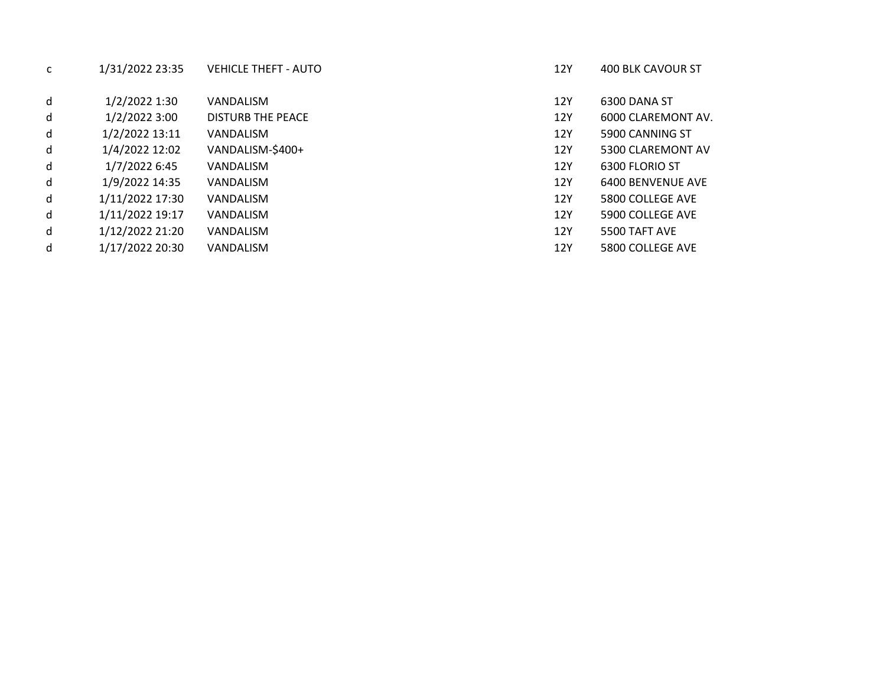|   | רנינד זזחז ודר וד | VLIIIULLIIILII TAUTU     |
|---|-------------------|--------------------------|
| d | 1/2/2022 1:30     | <b>VANDALISM</b>         |
| d | 1/2/2022 3:00     | <b>DISTURB THE PEACE</b> |
| d | 1/2/2022 13:11    | <b>VANDALISM</b>         |
| d | 1/4/2022 12:02    | VANDALISM-\$400+         |
| d | 1/7/2022 6:45     | <b>VANDALISM</b>         |
| d | 1/9/2022 14:35    | <b>VANDALISM</b>         |
| d | 1/11/2022 17:30   | <b>VANDALISM</b>         |
| d | 1/11/2022 19:17   | <b>VANDALISM</b>         |
| d | 1/12/2022 21:20   | VANDALISM                |
| d | 1/17/2022 20:30   | <b>VANDALISM</b>         |

c 1/31/2022 23:35 VEHICLE THEFT - AUTO 12Y 400 BLK CAVOUR ST

- 12Y 6300 DANA ST
- 12Y 6000 CLAREMONT AV.
- 12Y 5900 CANNING ST
- 12Y 5300 CLAREMONT AV
- 12Y 6300 FLORIO ST
- 12Y 6400 BENVENUE AVE
- 12Y 5800 COLLEGE AVE
- 12Y 5900 COLLEGE AVE
- 12Y 5500 TAFT AVE
- 12Y 5800 COLLEGE AVE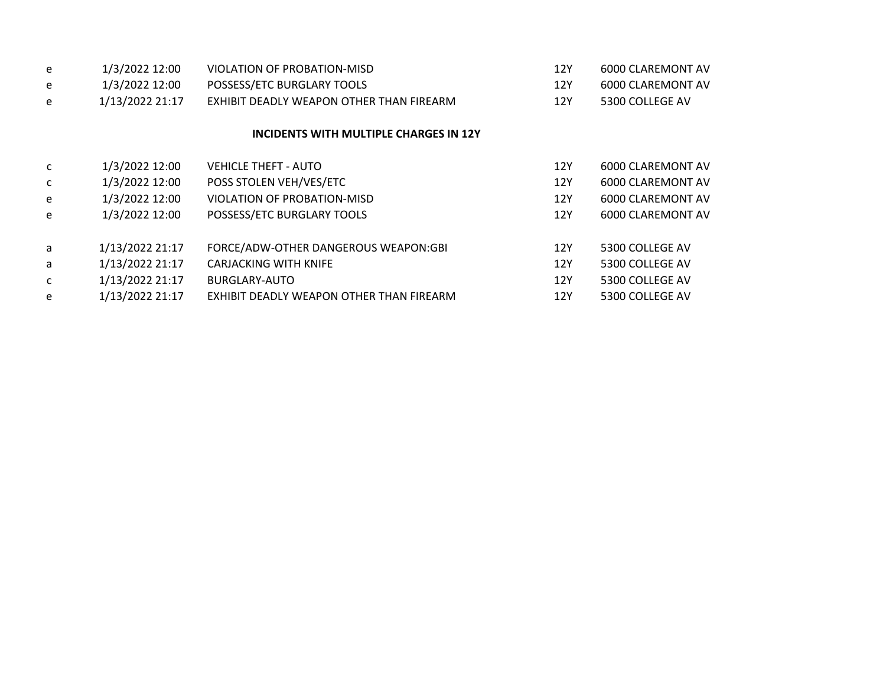| e | 1/3/2022 12:00  | VIOLATION OF PROBATION-MISD              | 12Y | 6000 CLAREMONT AV        |
|---|-----------------|------------------------------------------|-----|--------------------------|
| e | 1/3/2022 12:00  | POSSESS/ETC BURGLARY TOOLS               | 12Y | <b>6000 CLAREMONT AV</b> |
| e | 1/13/2022 21:17 | EXHIBIT DEADLY WEAPON OTHER THAN FIREARM | 12Y | 5300 COLLEGE AV          |
|   |                 | INCIDENTS WITH MULTIPLE CHARGES IN 12Y   |     |                          |
| C | 1/3/2022 12:00  | <b>VEHICLE THEFT - AUTO</b>              | 12Y | 6000 CLAREMONT AV        |
| C | 1/3/2022 12:00  | POSS STOLEN VEH/VES/ETC                  | 12Y | 6000 CLAREMONT AV        |
| e | 1/3/2022 12:00  | VIOLATION OF PROBATION-MISD              | 12Y | 6000 CLAREMONT AV        |
| e | 1/3/2022 12:00  | POSSESS/ETC BURGLARY TOOLS               | 12Y | 6000 CLAREMONT AV        |
| a | 1/13/2022 21:17 | FORCE/ADW-OTHER DANGEROUS WEAPON:GBI     | 12Y | 5300 COLLEGE AV          |
| a | 1/13/2022 21:17 | <b>CARJACKING WITH KNIFE</b>             | 12Y | 5300 COLLEGE AV          |
| C | 1/13/2022 21:17 | BURGLARY-AUTO                            | 12Y | 5300 COLLEGE AV          |
| e | 1/13/2022 21:17 | EXHIBIT DEADLY WEAPON OTHER THAN FIREARM | 12Y | 5300 COLLEGE AV          |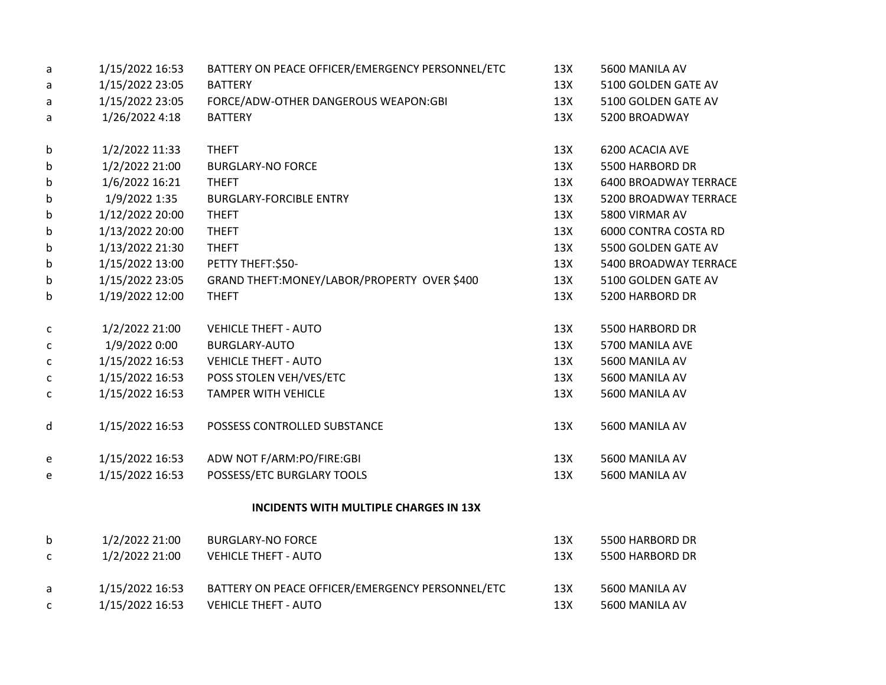| a            | 1/15/2022 16:53 | BATTERY ON PEACE OFFICER/EMERGENCY PERSONNEL/ETC | 13X | 5600 MANILA AV        |
|--------------|-----------------|--------------------------------------------------|-----|-----------------------|
| a            | 1/15/2022 23:05 | <b>BATTERY</b>                                   | 13X | 5100 GOLDEN GATE AV   |
| a            | 1/15/2022 23:05 | FORCE/ADW-OTHER DANGEROUS WEAPON:GBI             | 13X | 5100 GOLDEN GATE AV   |
| a            | 1/26/2022 4:18  | <b>BATTERY</b>                                   | 13X | 5200 BROADWAY         |
| b            | 1/2/2022 11:33  | <b>THEFT</b>                                     | 13X | 6200 ACACIA AVE       |
| b            | 1/2/2022 21:00  | <b>BURGLARY-NO FORCE</b>                         | 13X | 5500 HARBORD DR       |
| b            | 1/6/2022 16:21  | <b>THEFT</b>                                     | 13X | 6400 BROADWAY TERRACE |
| b            | 1/9/2022 1:35   | <b>BURGLARY-FORCIBLE ENTRY</b>                   | 13X | 5200 BROADWAY TERRACE |
| b            | 1/12/2022 20:00 | <b>THEFT</b>                                     | 13X | 5800 VIRMAR AV        |
| b            | 1/13/2022 20:00 | <b>THEFT</b>                                     | 13X | 6000 CONTRA COSTA RD  |
| b            | 1/13/2022 21:30 | <b>THEFT</b>                                     | 13X | 5500 GOLDEN GATE AV   |
| b            | 1/15/2022 13:00 | PETTY THEFT:\$50-                                | 13X | 5400 BROADWAY TERRACE |
| b            | 1/15/2022 23:05 | GRAND THEFT: MONEY/LABOR/PROPERTY OVER \$400     | 13X | 5100 GOLDEN GATE AV   |
| b            | 1/19/2022 12:00 | <b>THEFT</b>                                     | 13X | 5200 HARBORD DR       |
| с            | 1/2/2022 21:00  | <b>VEHICLE THEFT - AUTO</b>                      | 13X | 5500 HARBORD DR       |
| C            | 1/9/2022 0:00   | <b>BURGLARY-AUTO</b>                             | 13X | 5700 MANILA AVE       |
| с            | 1/15/2022 16:53 | <b>VEHICLE THEFT - AUTO</b>                      | 13X | 5600 MANILA AV        |
| $\mathsf{C}$ | 1/15/2022 16:53 | POSS STOLEN VEH/VES/ETC                          | 13X | 5600 MANILA AV        |
| с            | 1/15/2022 16:53 | <b>TAMPER WITH VEHICLE</b>                       | 13X | 5600 MANILA AV        |
| d            | 1/15/2022 16:53 | POSSESS CONTROLLED SUBSTANCE                     | 13X | 5600 MANILA AV        |
| e            | 1/15/2022 16:53 | ADW NOT F/ARM:PO/FIRE:GBI                        | 13X | 5600 MANILA AV        |
| е            | 1/15/2022 16:53 | POSSESS/ETC BURGLARY TOOLS                       | 13X | 5600 MANILA AV        |
|              |                 | INCIDENTS WITH MULTIPLE CHARGES IN 13X           |     |                       |
| b            | 1/2/2022 21:00  | <b>BURGLARY-NO FORCE</b>                         | 13X | 5500 HARBORD DR       |
| $\mathsf{C}$ | 1/2/2022 21:00  | <b>VEHICLE THEFT - AUTO</b>                      | 13X | 5500 HARBORD DR       |
| a            | 1/15/2022 16:53 | BATTERY ON PEACE OFFICER/EMERGENCY PERSONNEL/ETC | 13X | 5600 MANILA AV        |
| C            | 1/15/2022 16:53 | <b>VEHICLE THEFT - AUTO</b>                      | 13X | 5600 MANILA AV        |
|              |                 |                                                  |     |                       |